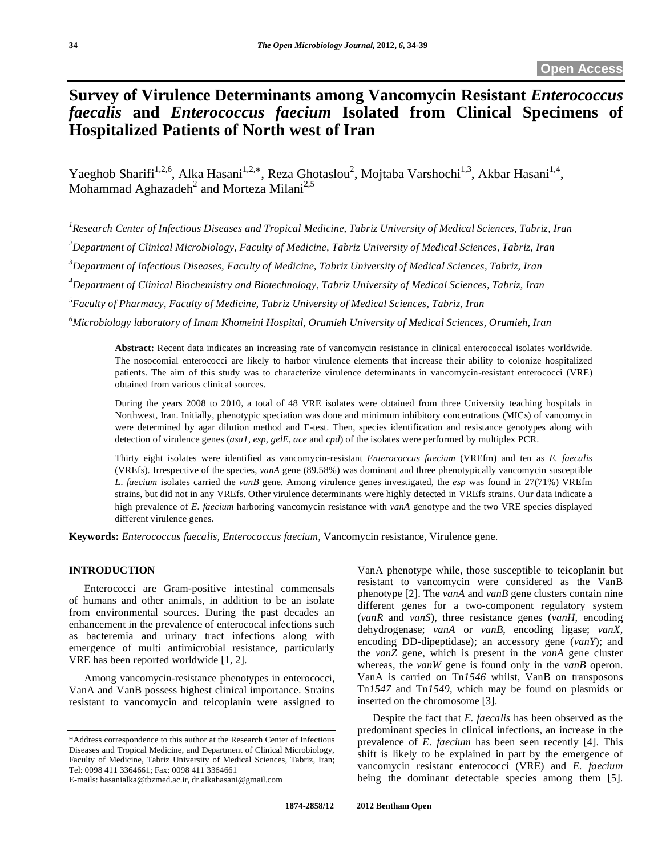# **Survey of Virulence Determinants among Vancomycin Resistant** *Enterococcus faecalis* **and** *Enterococcus faecium* **Isolated from Clinical Specimens of Hospitalized Patients of North west of Iran**

Yaeghob Sharifi<sup>1,2,6</sup>, Alka Hasani<sup>1,2,\*</sup>, Reza Ghotaslou<sup>2</sup>, Mojtaba Varshochi<sup>1,3</sup>, Akbar Hasani<sup>1,4</sup>, Mohammad Aghazadeh<sup>2</sup> and Morteza Milani<sup>2,5</sup>

<sup>1</sup> Research Center of Infectious Diseases and Tropical Medicine, Tabriz University of Medical Sciences, Tabriz, Iran

*2 Department of Clinical Microbiology, Faculty of Medicine, Tabriz University of Medical Sciences, Tabriz, Iran* 

*3 Department of Infectious Diseases, Faculty of Medicine, Tabriz University of Medical Sciences, Tabriz, Iran* 

*4 Department of Clinical Biochemistry and Biotechnology, Tabriz University of Medical Sciences, Tabriz, Iran* 

*5 Faculty of Pharmacy, Faculty of Medicine, Tabriz University of Medical Sciences, Tabriz, Iran* 

*6 Microbiology laboratory of Imam Khomeini Hospital, Orumieh University of Medical Sciences, Orumieh, Iran* 

**Abstract:** Recent data indicates an increasing rate of vancomycin resistance in clinical enterococcal isolates worldwide. The nosocomial enterococci are likely to harbor virulence elements that increase their ability to colonize hospitalized patients. The aim of this study was to characterize virulence determinants in vancomycin-resistant enterococci (VRE) obtained from various clinical sources.

During the years 2008 to 2010, a total of 48 VRE isolates were obtained from three University teaching hospitals in Northwest, Iran. Initially, phenotypic speciation was done and minimum inhibitory concentrations (MICs) of vancomycin were determined by agar dilution method and E-test. Then, species identification and resistance genotypes along with detection of virulence genes (*asa1*, *esp*, *gelE*, *ace* and *cpd*) of the isolates were performed by multiplex PCR.

Thirty eight isolates were identified as vancomycin-resistant *Enterococcus faecium* (VREfm) and ten as *E. faecalis* (VREfs). Irrespective of the species, *vanA* gene (89.58%) was dominant and three phenotypically vancomycin susceptible *E. faecium* isolates carried the *vanB* gene. Among virulence genes investigated, the *esp* was found in 27(71%) VREfm strains, but did not in any VREfs. Other virulence determinants were highly detected in VREfs strains. Our data indicate a high prevalence of *E. faecium* harboring vancomycin resistance with *vanA* genotype and the two VRE species displayed different virulence genes.

**Keywords:** *Enterococcus faecalis, Enterococcus faecium*, Vancomycin resistance, Virulence gene.

# **INTRODUCTION**

 Enterococci are Gram-positive intestinal commensals of humans and other animals, in addition to be an isolate from environmental sources. During the past decades an enhancement in the prevalence of enterococal infections such as bacteremia and urinary tract infections along with emergence of multi antimicrobial resistance, particularly VRE has been reported worldwide [1, 2].

 Among vancomycin-resistance phenotypes in enterococci, VanA and VanB possess highest clinical importance. Strains resistant to vancomycin and teicoplanin were assigned to

E-mails: hasanialka@tbzmed.ac.ir, dr.alkahasani@gmail.com

VanA phenotype while, those susceptible to teicoplanin but resistant to vancomycin were considered as the VanB phenotype [2]. The *vanA* and *vanB* gene clusters contain nine different genes for a two-component regulatory system (*vanR* and *vanS*), three resistance genes (*vanH*, encoding dehydrogenase; *vanA* or *vanB*, encoding ligase; *vanX*, encoding DD-dipeptidase); an accessory gene (*vanY*); and the *vanZ* gene, which is present in the *vanA* gene cluster whereas, the *vanW* gene is found only in the *vanB* operon. VanA is carried on Tn*1546* whilst, VanB on transposons Tn*1547* and Tn*1549*, which may be found on plasmids or inserted on the chromosome [3].

 Despite the fact that *E. faecalis* has been observed as the predominant species in clinical infections, an increase in the prevalence of *E. faecium* has been seen recently [4]. This shift is likely to be explained in part by the emergence of vancomycin resistant enterococci (VRE) and *E. faecium*  being the dominant detectable species among them [5].

<sup>\*</sup>Address correspondence to this author at the Research Center of Infectious Diseases and Tropical Medicine, and Department of Clinical Microbiology, Faculty of Medicine, Tabriz University of Medical Sciences, Tabriz, Iran; Tel: 0098 411 3364661; Fax: 0098 411 3364661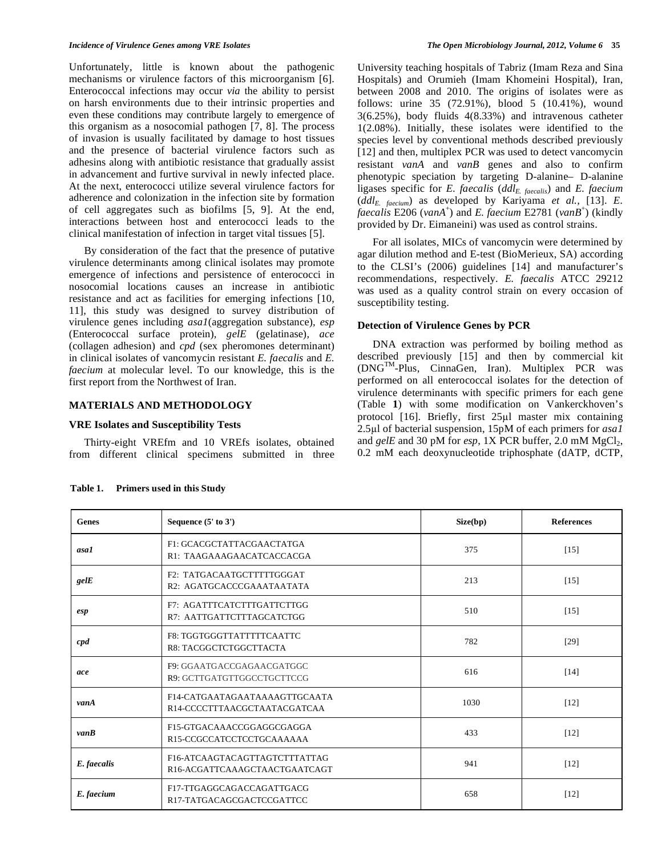Unfortunately, little is known about the pathogenic mechanisms or virulence factors of this microorganism [6]. Enterococcal infections may occur *via* the ability to persist on harsh environments due to their intrinsic properties and even these conditions may contribute largely to emergence of this organism as a nosocomial pathogen [7, 8]. The process of invasion is usually facilitated by damage to host tissues and the presence of bacterial virulence factors such as adhesins along with antibiotic resistance that gradually assist in advancement and furtive survival in newly infected place. At the next, enterococci utilize several virulence factors for adherence and colonization in the infection site by formation of cell aggregates such as biofilms [5, 9]. At the end, interactions between host and enterococci leads to the clinical manifestation of infection in target vital tissues [5].

 By consideration of the fact that the presence of putative virulence determinants among clinical isolates may promote emergence of infections and persistence of enterococci in nosocomial locations causes an increase in antibiotic resistance and act as facilities for emerging infections [10, 11], this study was designed to survey distribution of virulence genes including *asa1*(aggregation substance)*, esp* (Enterococcal surface protein)*, gelE* (gelatinase)*, ace* (collagen adhesion) and *cpd* (sex pheromones determinant) in clinical isolates of vancomycin resistant *E. faecalis* and *E. faecium* at molecular level. To our knowledge, this is the first report from the Northwest of Iran.

# **MATERIALS AND METHODOLOGY**

#### **VRE Isolates and Susceptibility Tests**

 Thirty-eight VREfm and 10 VREfs isolates, obtained from different clinical specimens submitted in three University teaching hospitals of Tabriz (Imam Reza and Sina Hospitals) and Orumieh (Imam Khomeini Hospital), Iran, between 2008 and 2010. The origins of isolates were as follows: urine 35 (72.91%), blood 5 (10.41%), wound 3(6.25%), body fluids 4(8.33%) and intravenous catheter 1(2.08%). Initially, these isolates were identified to the species level by conventional methods described previously [12] and then, multiplex PCR was used to detect vancomycin resistant *vanA* and *vanB* genes and also to confirm phenotypic speciation by targeting D-alanine– D-alanine ligases specific for *E. faecalis* (*ddlE. faecalis*) and *E. faecium*  (*ddlE. faecium*) as developed by Kariyama *et al.,* [13]. *E. faecalis* E206 (*vanA*<sup>+</sup> ) and *E. faecium* E2781 (*vanB*<sup>+</sup> ) (kindly provided by Dr. Eimaneini) was used as control strains.

 For all isolates, MICs of vancomycin were determined by agar dilution method and E-test (BioMerieux, SA) according to the CLSI's (2006) guidelines [14] and manufacturer's recommendations, respectively. *E. faecalis* ATCC 29212 was used as a quality control strain on every occasion of susceptibility testing.

## **Detection of Virulence Genes by PCR**

 DNA extraction was performed by boiling method as described previously [15] and then by commercial kit (DNGTM-Plus, CinnaGen, Iran). Multiplex PCR was performed on all enterococcal isolates for the detection of virulence determinants with specific primers for each gene (Table **1**) with some modification on Vankerckhoven's protocol  $[16]$ . Briefly, first  $25\mu l$  master mix containing 2.5µl of bacterial suspension, 15pM of each primers for *asa1* and *gelE* and 30 pM for *esp*, 1X PCR buffer, 2.0 mM MgCl<sub>2</sub>, 0.2 mM each deoxynucleotide triphosphate (dATP, dCTP,

| Genes        | Sequence $(5'$ to $3')$                                               | Size(bp) | <b>References</b> |
|--------------|-----------------------------------------------------------------------|----------|-------------------|
| asa1         | F1: GCACGCTATTACGAACTATGA<br>R1: TAAGAAAGAACATCACCACGA                | 375      | $[15]$            |
| gelE         | F2: TATGACAATGCTTTTTGGGAT<br>R2: AGATGCACCCGAAATAATATA                | 213      | [15]              |
| esp          | <b>F7: AGATTTCATCTTTGATTCTTGG</b><br>510<br>R7: AATTGATTCTTTAGCATCTGG |          | $[15]$            |
| $\emph{cpd}$ | F8: TGGTGGGTTATTTTTCAATTC<br>R8: TACGGCTCTGGCTTACTA                   | 782      | $[29]$            |
| ace          | F9: GGAATGACCGAGAACGATGGC<br>R9: GCTTGATGTTGGCCTGCTTCCG               | 616      | [14]              |
| vanA         | F14-CATGAATAGAATAAAAGTTGCAATA<br>R14-CCCCTTTAACGCTAATACGATCAA         | 1030     | $[12]$            |
| vanB         | F15-GTGACAAACCGGAGGCGAGGA<br>R15-CCGCCATCCTCCTGCAAAAAA                | 433      | $[12]$            |
| E. faecalis  | F16-ATCAAGTACAGTTAGTCTTTATTAG<br>R16-ACGATTCAAAGCTAACTGAATCAGT        | 941      | $[12]$            |
| E. faecium   | F17-TTGAGGCAGACCAGATTGACG<br>R17-TATGACAGCGACTCCGATTCC                | 658      | $[12]$            |

**Table 1. Primers used in this Study**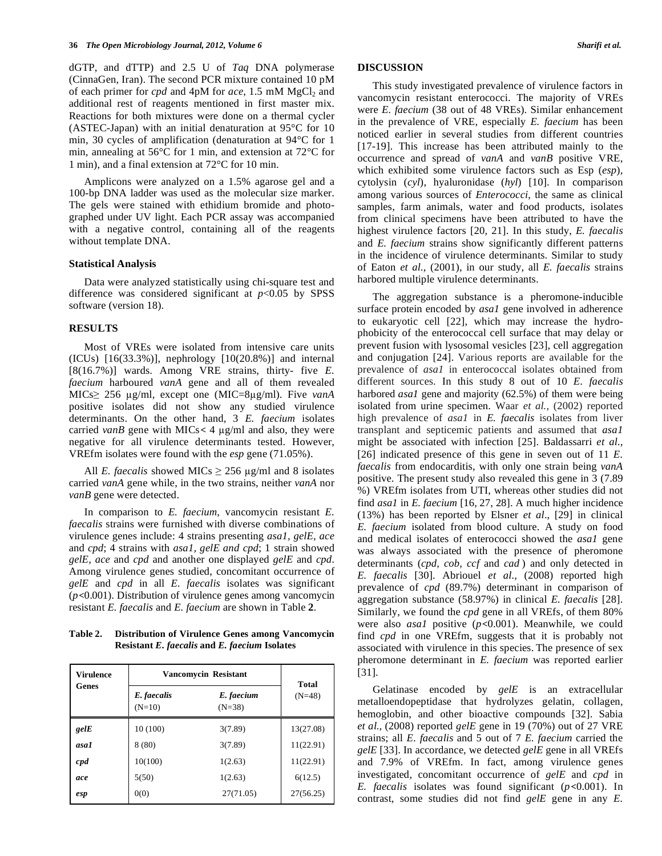dGTP, and dTTP) and 2.5 U of *Taq* DNA polymerase (CinnaGen, Iran). The second PCR mixture contained 10 pM of each primer for *cpd* and 4pM for *ace*, 1.5 mM MgCl<sub>2</sub> and additional rest of reagents mentioned in first master mix. Reactions for both mixtures were done on a thermal cycler (ASTEC-Japan) with an initial denaturation at 95°C for 10 min, 30 cycles of amplification (denaturation at 94°C for 1 min, annealing at 56°C for 1 min, and extension at 72°C for 1 min), and a final extension at 72°C for 10 min.

 Amplicons were analyzed on a 1.5% agarose gel and a 100-bp DNA ladder was used as the molecular size marker. The gels were stained with ethidium bromide and photographed under UV light. Each PCR assay was accompanied with a negative control, containing all of the reagents without template DNA.

#### **Statistical Analysis**

 Data were analyzed statistically using chi-square test and difference was considered significant at  $p<0.05$  by SPSS software (version 18).

### **RESULTS**

 Most of VREs were isolated from intensive care units  $(ICUs)$   $[16(33.3%)]$ , nephrology  $[10(20.8%)]$  and internal [8(16.7%)] wards. Among VRE strains, thirty- five *E. faecium* harboured *vanA* gene and all of them revealed  $MICs \geq 256$   $\mu$ g/ml, except one (MIC=8 $\mu$ g/ml). Five *vanA* positive isolates did not show any studied virulence determinants. On the other hand, 3 *E. faecium* isolates carried *vanB* gene with MICs < 4  $\mu$ g/ml and also, they were negative for all virulence determinants tested. However, VREfm isolates were found with the *esp* gene (71.05%).

All *E. faecalis* showed MICs  $\geq$  256  $\mu$ g/ml and 8 isolates carried *vanA* gene while, in the two strains, neither *vanA* nor *vanB* gene were detected.

 In comparison to *E. faecium*, vancomycin resistant *E. faecalis* strains were furnished with diverse combinations of virulence genes include: 4 strains presenting *asa1, gelE, ace*  and *cpd*; 4 strains with *asa1, gelE and cpd*; 1 strain showed *gelE, ace* and *cpd* and another one displayed *gelE* and *cpd*. Among virulence genes studied, concomitant occurrence of *gelE* and *cpd* in all *E. faecalis* isolates was significant  $(p<0.001)$ . Distribution of virulence genes among vancomycin resistant *E. faecalis* and *E. faecium* are shown in Table **2**.

**Table 2. Distribution of Virulence Genes among Vancomycin Resistant** *E. faecalis* **and** *E. faecium* **Isolates** 

| <b>Virulence</b> | <b>Vancomycin Resistant</b> |                        | Total     |
|------------------|-----------------------------|------------------------|-----------|
| Genes            | E. faecalis<br>$(N=10)$     | E. faecium<br>$(N=38)$ | $(N=48)$  |
| gelE             | 10 (100)                    | 3(7.89)                | 13(27.08) |
| asal             | 8(80)                       | 3(7.89)                | 11(22.91) |
| $\emph{cpd}$     | 10(100)                     | 1(2.63)                | 11(22.91) |
| ace              | 5(50)                       | 1(2.63)                | 6(12.5)   |
| esp              | 0(0)                        | 27(71.05)              | 27(56.25) |

## **DISCUSSION**

 This study investigated prevalence of virulence factors in vancomycin resistant enterococci. The majority of VREs were *E. faecium* (38 out of 48 VREs). Similar enhancement in the prevalence of VRE, especially *E. faecium* has been noticed earlier in several studies from different countries [17-19]. This increase has been attributed mainly to the occurrence and spread of *vanA* and *vanB* positive VRE, which exhibited some virulence factors such as Esp (*esp*), cytolysin (*cyl*), hyaluronidase (*hyl*) [10]. In comparison among various sources of *Enterococci*, the same as clinical samples, farm animals, water and food products, isolates from clinical specimens have been attributed to have the highest virulence factors [20, 21]. In this study, *E. faecalis*  and *E. faecium* strains show significantly different patterns in the incidence of virulence determinants. Similar to study of Eaton *et al.,* (2001), in our study, all *E. faecalis* strains harbored multiple virulence determinants.

 The aggregation substance is a pheromone-inducible surface protein encoded by *asa1* gene involved in adherence to eukaryotic cell [22], which may increase the hydrophobicity of the enterococcal cell surface that may delay or prevent fusion with lysosomal vesicles [23], cell aggregation and conjugation [24]. Various reports are available for the prevalence of *asa1* in enterococcal isolates obtained from different sources. In this study 8 out of 10 *E. faecalis* harbored *asa1* gene and majority (62.5%) of them were being isolated from urine specimen. Waar *et al.,* (2002) reported high prevalence of *asa1* in *E. faecalis* isolates from liver transplant and septicemic patients and assumed that *asa1* might be associated with infection [25]. Baldassarri *et al*., [26] indicated presence of this gene in seven out of 11 *E. faecalis* from endocarditis, with only one strain being *vanA* positive. The present study also revealed this gene in 3 (7.89 %) VREfm isolates from UTI, whereas other studies did not find *asa1* in *E. faecium* [16, 27, 28]. A much higher incidence (13%) has been reported by Elsner *et al*., [29] in clinical *E. faecium* isolated from blood culture. A study on food and medical isolates of enterococci showed the *asa1* gene was always associated with the presence of pheromone determinants (*cpd, cob, ccf* and *cad* ) and only detected in *E. faecalis* [30]. Abriouel *et al.,* (2008) reported high prevalence of *cpd* (89.7%) determinant in comparison of aggregation substance (58.97%) in clinical *E. faecalis* [28]. Similarly, we found the *cpd* gene in all VREfs, of them 80% were also *asal* positive (*p*<0.001). Meanwhile, we could find *cpd* in one VREfm, suggests that it is probably not associated with virulence in this species. The presence of sex pheromone determinant in *E. faecium* was reported earlier [31].

 Gelatinase encoded by *gelE* is an extracellular metalloendopeptidase that hydrolyzes gelatin, collagen, hemoglobin, and other bioactive compounds [32]. Sabia *et al.,* (2008) reported *gelE* gene in 19 (70%) out of 27 VRE strains; all *E. faecalis* and 5 out of 7 *E. faecium* carried the *gelE* [33]. In accordance, we detected *gelE* gene in all VREfs and 7.9% of VREfm. In fact, among virulence genes investigated, concomitant occurrence of *gelE* and *cpd* in *E. faecalis* isolates was found significant  $(p<0.001)$ . In contrast, some studies did not find *gelE* gene in any *E.*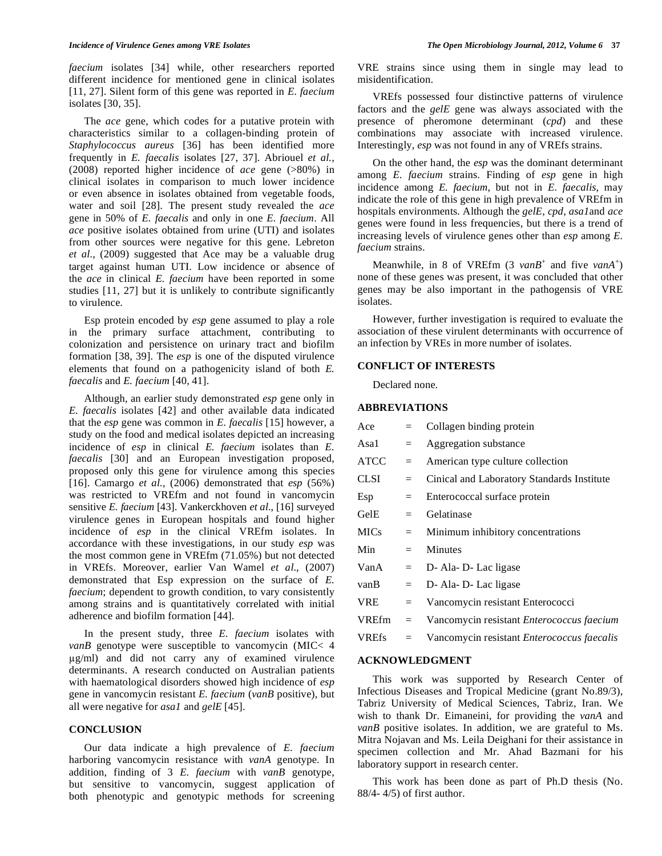*faecium* isolates [34] while, other researchers reported different incidence for mentioned gene in clinical isolates [11, 27]. Silent form of this gene was reported in *E. faecium* isolates [30, 35].

 The *ace* gene, which codes for a putative protein with characteristics similar to a collagen-binding protein of *Staphylococcus aureus* [36] has been identified more frequently in *E. faecalis* isolates [27, 37]. Abriouel *et al.,* (2008) reported higher incidence of *ace* gene (>80%) in clinical isolates in comparison to much lower incidence or even absence in isolates obtained from vegetable foods, water and soil [28]. The present study revealed the *ace*  gene in 50% of *E. faecalis* and only in one *E. faecium*. All *ace* positive isolates obtained from urine (UTI) and isolates from other sources were negative for this gene. Lebreton *et al.,* (2009) suggested that Ace may be a valuable drug target against human UTI. Low incidence or absence of the *ace* in clinical *E. faecium* have been reported in some studies [11, 27] but it is unlikely to contribute significantly to virulence.

 Esp protein encoded by *esp* gene assumed to play a role in the primary surface attachment, contributing to colonization and persistence on urinary tract and biofilm formation [38, 39]. The *esp* is one of the disputed virulence elements that found on a pathogenicity island of both *E. faecalis* and *E. faecium* [40, 41].

 Although, an earlier study demonstrated *esp* gene only in *E. faecalis* isolates [42] and other available data indicated that the *esp* gene was common in *E. faecalis* [15] however, a study on the food and medical isolates depicted an increasing incidence of *esp* in clinical *E. faecium* isolates than *E. faecalis* [30] and an European investigation proposed, proposed only this gene for virulence among this species [16]. Camargo *et al.,* (2006) demonstrated that *esp* (56%) was restricted to VREfm and not found in vancomycin sensitive *E. faecium* [43]. Vankerckhoven *et al*., [16] surveyed virulence genes in European hospitals and found higher incidence of *esp* in the clinical VREfm isolates. In accordance with these investigations, in our study *esp* was the most common gene in VREfm (71.05%) but not detected in VREfs. Moreover, earlier Van Wamel *et al*., (2007) demonstrated that Esp expression on the surface of *E. faecium*; dependent to growth condition, to vary consistently among strains and is quantitatively correlated with initial adherence and biofilm formation [44].

 In the present study, three *E. faecium* isolates with *vanB* genotype were susceptible to vancomycin (MIC< 4 g/ml) and did not carry any of examined virulence determinants. A research conducted on Australian patients with haematological disorders showed high incidence of *esp* gene in vancomycin resistant *E. faecium* (*vanB* positive), but all were negative for *asa1* and *gelE* [45].

## **CONCLUSION**

 Our data indicate a high prevalence of *E. faecium* harboring vancomycin resistance with *vanA* genotype. In addition, finding of 3 *E. faecium* with *vanB* genotype, but sensitive to vancomycin, suggest application of both phenotypic and genotypic methods for screening VRE strains since using them in single may lead to misidentification.

 VREfs possessed four distinctive patterns of virulence factors and the *gelE* gene was always associated with the presence of pheromone determinant (*cpd*) and these combinations may associate with increased virulence. Interestingly, *esp* was not found in any of VREfs strains.

 On the other hand, the *esp* was the dominant determinant among *E. faecium* strains. Finding of *esp* gene in high incidence among *E. faecium*, but not in *E. faecalis*, may indicate the role of this gene in high prevalence of VREfm in hospitals environments. Although the *gelE*, *cpd*, *asa1*and *ace* genes were found in less frequencies, but there is a trend of increasing levels of virulence genes other than *esp* among *E. faecium* strains.

Meanwhile, in 8 of VREfm  $(3 \text{ van}B^+)$  and five *vanA*<sup>+</sup>) none of these genes was present, it was concluded that other genes may be also important in the pathogensis of VRE isolates.

 However, further investigation is required to evaluate the association of these virulent determinants with occurrence of an infection by VREs in more number of isolates.

## **CONFLICT OF INTERESTS**

Declared none.

#### **ABBREVIATIONS**

| Ace          | $=$ | Collagen binding protein                         |
|--------------|-----|--------------------------------------------------|
| Asa1         | $=$ | Aggregation substance                            |
| <b>ATCC</b>  | $=$ | American type culture collection                 |
| <b>CLSI</b>  | $=$ | Cinical and Laboratory Standards Institute       |
| Esp          | $=$ | Enterococcal surface protein                     |
| GelE         | $=$ | Gelatinase                                       |
| <b>MICs</b>  | $=$ | Minimum inhibitory concentrations                |
| Min          | $=$ | <b>Minutes</b>                                   |
| VanA         | $=$ | D- Ala-D- Lac ligase                             |
| vanB         | $=$ | D- Ala-D- Lac ligase                             |
| <b>VRE</b>   | $=$ | Vancomycin resistant Enterococci                 |
| VREfm        | $=$ | Vancomycin resistant <i>Enterococcus faecium</i> |
| <b>VREfs</b> | $=$ | Vancomycin resistant Enterococcus faecalis       |

# **ACKNOWLEDGMENT**

 This work was supported by Research Center of Infectious Diseases and Tropical Medicine (grant No.89/3), Tabriz University of Medical Sciences, Tabriz, Iran. We wish to thank Dr. Eimaneini, for providing the *vanA* and *vanB* positive isolates. In addition, we are grateful to Ms. Mitra Nojavan and Ms. Leila Deighani for their assistance in specimen collection and Mr. Ahad Bazmani for his laboratory support in research center.

 This work has been done as part of Ph.D thesis (No. 88/4- 4/5) of first author.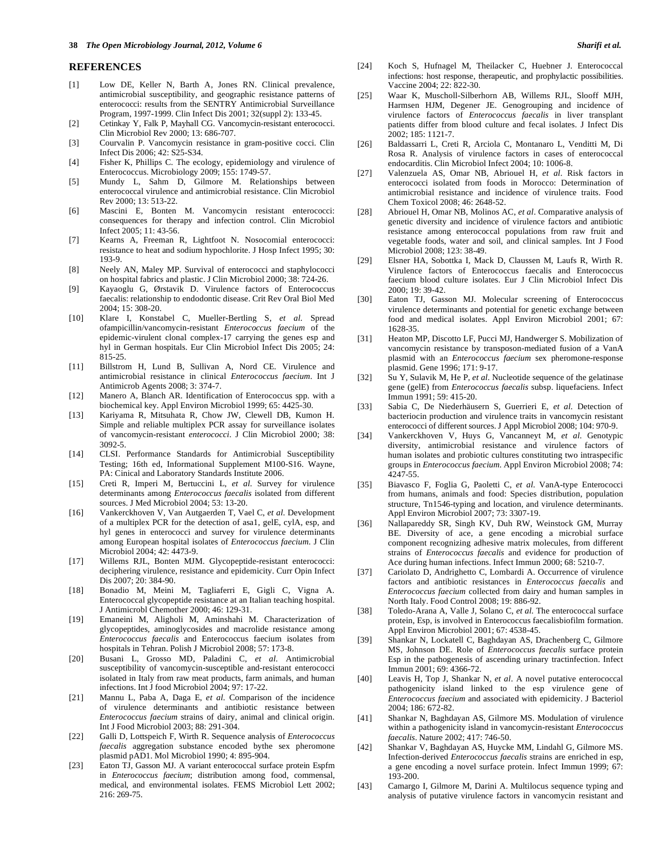#### **REFERENCES**

- [1] Low DE, Keller N, Barth A, Jones RN. Clinical prevalence, antimicrobial susceptibility, and geographic resistance patterns of enterococci: results from the SENTRY Antimicrobial Surveillance Program, 1997-1999. Clin Infect Dis 2001; 32(suppl 2): 133-45.
- [2] Cetinkay Y, Falk P, Mayhall CG. Vancomycin-resistant enterococci. Clin Microbiol Rev 2000; 13: 686-707.
- [3] Courvalin P. Vancomycin resistance in gram-positive cocci. Clin Infect Dis 2006; 42: S25-S34.
- [4] Fisher K, Phillips C. The ecology, epidemiology and virulence of Enterococcus. Microbiology 2009; 155: 1749-57.
- [5] Mundy L, Sahm D, Gilmore M. Relationships between enterococcal virulence and antimicrobial resistance. Clin Microbiol Rev 2000; 13: 513-22.
- [6] Mascini E, Bonten M. Vancomycin resistant enterococci: consequences for therapy and infection control. Clin Microbiol Infect 2005; 11: 43-56.
- [7] Kearns A, Freeman R, Lightfoot N. Nosocomial enterococci: resistance to heat and sodium hypochlorite. J Hosp Infect 1995; 30: 193-9.
- [8] Neely AN, Maley MP. Survival of enterococci and staphylococci on hospital fabrics and plastic. J Clin Microbiol 2000; 38: 724-26.
- [9] Kayaoglu G, Ørstavik D. Virulence factors of Enterococcus faecalis: relationship to endodontic disease. Crit Rev Oral Biol Med 2004; 15: 308-20.
- [10] Klare I, Konstabel C, Mueller-Bertling S, *et al*. Spread ofampicillin/vancomycin-resistant *Enterococcus faecium* of the epidemic-virulent clonal complex-17 carrying the genes esp and hyl in German hospitals. Eur Clin Microbiol Infect Dis 2005; 24: 815-25.
- [11] Billstrom H, Lund B, Sullivan A, Nord CE. Virulence and antimicrobial resistance in clinical *Enterococcus faecium*. Int J Antimicrob Agents 2008; 3: 374-7.
- [12] Manero A, Blanch AR. Identification of Enterococcus spp. with a biochemical key. Appl Environ Microbiol 1999; 65: 4425-30.
- [13] Kariyama R, Mitsuhata R, Chow JW, Clewell DB, Kumon H. Simple and reliable multiplex PCR assay for surveillance isolates of vancomycin-resistant *enterococci*. J Clin Microbiol 2000; 38: 3092-5.
- [14] CLSI. Performance Standards for Antimicrobial Susceptibility Testing; 16th ed, Informational Supplement M100-S16. Wayne, PA: Cinical and Laboratory Standards Institute 2006.
- [15] Creti R, Imperi M, Bertuccini L, *et al*. Survey for virulence determinants among *Enterococcus faecalis* isolated from different sources. J Med Microbiol 2004; 53: 13-20.
- [16] Vankerckhoven V, Van Autgaerden T, Vael C, *et al*. Development of a multiplex PCR for the detection of asa1, gelE, cylA, esp, and hyl genes in enterococci and survey for virulence determinants among European hospital isolates of *Enterococcus faecium*. J Clin Microbiol 2004; 42: 4473-9.
- [17] Willems RJL, Bonten MJM. Glycopeptide-resistant enterococci: deciphering virulence, resistance and epidemicity. Curr Opin Infect Dis 2007; 20: 384-90.
- [18] Bonadio M, Meini M, Tagliaferri E, Gigli C, Vigna A. Enterococcal glycopeptide resistance at an Italian teaching hospital. J Antimicrobl Chemother 2000; 46: 129-31.
- [19] Emaneini M, Aligholi M, Aminshahi M. Characterization of glycopeptides, aminoglycosides and macrolide resistance among *Enterococcus faecalis* and Enterococcus faecium isolates from hospitals in Tehran. Polish J Microbiol 2008; 57: 173-8.
- [20] Busani L, Grosso MD, Paladini C, *et al*. Antimicrobial susceptibility of vancomycin-susceptible and-resistant enterococci isolated in Italy from raw meat products, farm animals, and human infections. Int J food Microbiol 2004; 97: 17-22.
- [21] Mannu L, Paba A, Daga E, *et al*. Comparison of the incidence of virulence determinants and antibiotic resistance between *Enterococcus faecium* strains of dairy, animal and clinical origin. Int J Food Microbiol 2003; 88: 291-304.
- [22] Galli D, Lottspeich F, Wirth R. Sequence analysis of *Enterococcus faecalis* aggregation substance encoded bythe sex pheromone plasmid pAD1. Mol Microbiol 1990; 4: 895-904.
- [23] Eaton TJ, Gasson MJ. A variant enterococcal surface protein Espfm in *Enterococcus faecium*; distribution among food, commensal, medical, and environmental isolates. FEMS Microbiol Lett 2002; 216: 269-75.
- [24] Koch S, Hufnagel M, Theilacker C, Huebner J. Enterococcal infections: host response, therapeutic, and prophylactic possibilities. Vaccine 2004; 22: 822-30.
- [25] Waar K, Muscholl-Silberhorn AB, Willems RJL, Slooff MJH, Harmsen HJM, Degener JE. Genogrouping and incidence of virulence factors of *Enterococcus faecalis* in liver transplant patients differ from blood culture and fecal isolates. J Infect Dis 2002; 185: 1121-7.
- [26] Baldassarri L, Creti R, Arciola C, Montanaro L, Venditti M, Di Rosa R. Analysis of virulence factors in cases of enterococcal endocarditis. Clin Microbiol Infect 2004; 10: 1006-8.
- [27] Valenzuela AS, Omar NB, Abriouel H, *et al*. Risk factors in enterococci isolated from foods in Morocco: Determination of antimicrobial resistance and incidence of virulence traits. Food Chem Toxicol 2008; 46: 2648-52.
- [28] Abriouel H, Omar NB, Molinos AC, *et al*. Comparative analysis of genetic diversity and incidence of virulence factors and antibiotic resistance among enterococcal populations from raw fruit and vegetable foods, water and soil, and clinical samples. Int J Food Microbiol 2008; 123: 38-49.
- [29] Elsner HA, Sobottka I, Mack D, Claussen M, Laufs R, Wirth R. Virulence factors of Enterococcus faecalis and Enterococcus faecium blood culture isolates. Eur J Clin Microbiol Infect Dis 2000; 19: 39-42.
- [30] Eaton TJ, Gasson MJ. Molecular screening of Enterococcus virulence determinants and potential for genetic exchange between food and medical isolates. Appl Environ Microbiol 2001; 67: 1628-35.
- [31] Heaton MP, Discotto LF, Pucci MJ, Handwerger S. Mobilization of vancomycin resistance by transposon-mediated fusion of a VanA plasmid with an *Enterococcus faecium* sex pheromone-response plasmid. Gene 1996; 171: 9-17.
- [32] Su Y, Sulavik M, He P, *et al*. Nucleotide sequence of the gelatinase gene (gelE) from *Enterococcus faecalis* subsp. liquefaciens. Infect Immun 1991; 59: 415-20.
- [33] Sabia C, De Niederhäusern S, Guerrieri E, *et al*. Detection of bacteriocin production and virulence traits in vancomycin resistant enterococci of different sources. J Appl Microbiol 2008; 104: 970-9.
- [34] Vankerckhoven V, Huys G, Vancanneyt M, *et al*. Genotypic diversity, antimicrobial resistance and virulence factors of human isolates and probiotic cultures constituting two intraspecific groups in *Enterococcus faecium*. Appl Environ Microbiol 2008; 74: 4247-55.
- [35] Biavasco F, Foglia G, Paoletti C, *et al*. VanA-type Enterococci from humans, animals and food: Species distribution, population structure, Tn1546-typing and location, and virulence determinants. Appl Environ Microbiol 2007; 73: 3307-19.
- [36] Nallapareddy SR, Singh KV, Duh RW, Weinstock GM, Murray BE. Diversity of ace, a gene encoding a microbial surface component recognizing adhesive matrix molecules, from different strains of *Enterococcus faecalis* and evidence for production of Ace during human infections. Infect Immun 2000; 68: 5210-7.
- [37] Cariolato D, Andrighetto C, Lombardi A. Occurrence of virulence factors and antibiotic resistances in *Enterococcus faecalis* and *Enterococcus faecium* collected from dairy and human samples in North Italy. Food Control 2008; 19: 886-92.
- [38] Toledo-Arana A, Valle J, Solano C, *et al*. The enterococcal surface protein, Esp, is involved in Enterococcus faecalisbiofilm formation. Appl Environ Microbiol 2001; 67: 4538-45.
- [39] Shankar N, Lockatell C, Baghdayan AS, Drachenberg C, Gilmore MS, Johnson DE. Role of *Enterococcus faecalis* surface protein Esp in the pathogenesis of ascending urinary tractinfection. Infect Immun 2001; 69: 4366-72.
- [40] Leavis H, Top J, Shankar N, *et al*. A novel putative enterococcal pathogenicity island linked to the esp virulence gene of *Enterococcus faecium* and associated with epidemicity. J Bacteriol 2004; 186: 672-82.
- [41] Shankar N, Baghdayan AS, Gilmore MS. Modulation of virulence within a pathogenicity island in vancomycin-resistant *Enterococcus faecalis*. Nature 2002; 417: 746-50.
- [42] Shankar V, Baghdayan AS, Huycke MM, Lindahl G, Gilmore MS. Infection-derived *Enterococcus faecalis* strains are enriched in esp, a gene encoding a novel surface protein. Infect Immun 1999; 67: 193-200.
- [43] Camargo I, Gilmore M, Darini A. Multilocus sequence typing and analysis of putative virulence factors in vancomycin resistant and